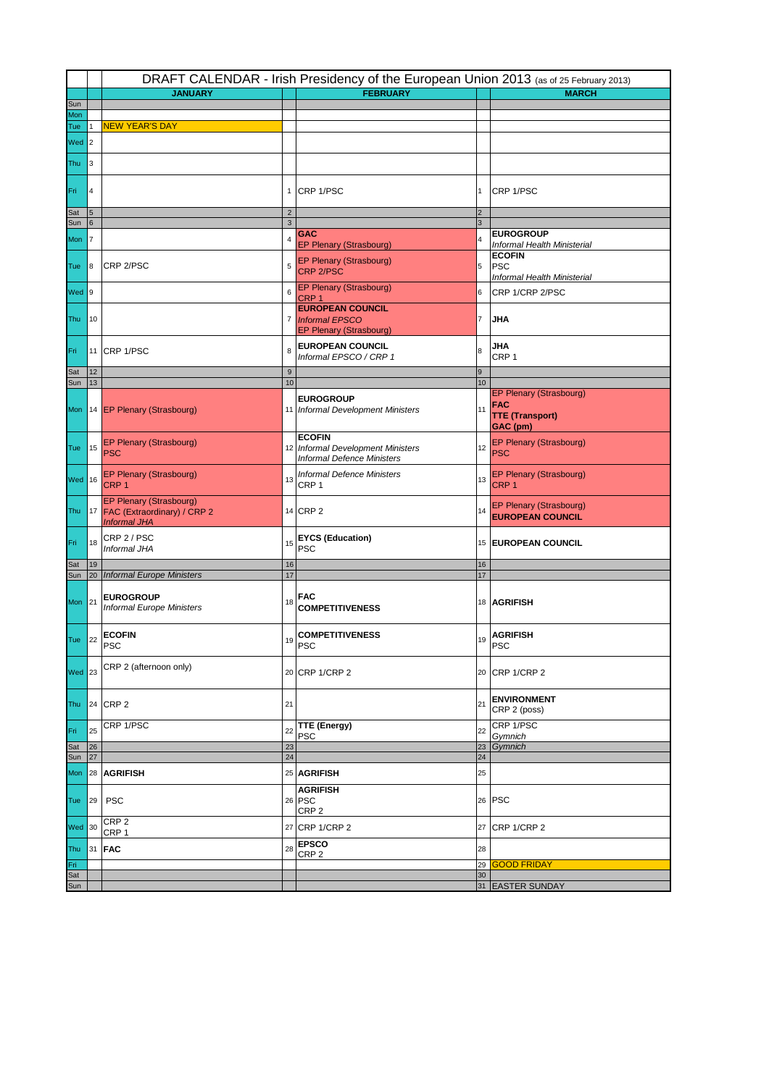|               |                 | DRAFT CALENDAR - Irish Presidency of the European Union 2013 (as of 25 February 2013) |                        |                                                                                         |                        |                                                                             |  |  |  |
|---------------|-----------------|---------------------------------------------------------------------------------------|------------------------|-----------------------------------------------------------------------------------------|------------------------|-----------------------------------------------------------------------------|--|--|--|
|               |                 | <b>JANUARY</b>                                                                        |                        | <b>FEBRUARY</b>                                                                         |                        | <b>MARCH</b>                                                                |  |  |  |
| Sun<br>Mon    |                 |                                                                                       |                        |                                                                                         |                        |                                                                             |  |  |  |
| Tue           |                 | <b>NEW YEAR'S DAY</b>                                                                 |                        |                                                                                         |                        |                                                                             |  |  |  |
| $Wed$ 2       |                 |                                                                                       |                        |                                                                                         |                        |                                                                             |  |  |  |
| Thu           | 3               |                                                                                       |                        |                                                                                         |                        |                                                                             |  |  |  |
| Fri           | 4               |                                                                                       |                        | 1 CRP 1/PSC                                                                             | 1                      | CRP 1/PSC                                                                   |  |  |  |
| Sat           | $5\phantom{.0}$ |                                                                                       | $\overline{2}$         |                                                                                         | $\overline{2}$         |                                                                             |  |  |  |
| Sun           | 6               |                                                                                       | $\mathbf{3}$           |                                                                                         | 3                      | <b>EUROGROUP</b>                                                            |  |  |  |
| Mon           | 7               |                                                                                       | 4                      | <b>GAC</b><br><b>EP Plenary (Strasbourg)</b>                                            | $\overline{4}$         | Informal Health Ministerial                                                 |  |  |  |
| Tue           | 8               | CRP 2/PSC                                                                             | 5                      | EP Plenary (Strasbourg)<br>CRP 2/PSC                                                    | 5                      | <b>ECOFIN</b><br><b>PSC</b><br>Informal Health Ministerial                  |  |  |  |
| Wed 9         |                 |                                                                                       | 6                      | EP Plenary (Strasbourg)<br>CRP <sub>1</sub>                                             | $6\phantom{a}$         | CRP 1/CRP 2/PSC                                                             |  |  |  |
| Thu           | 10              |                                                                                       |                        | <b>EUROPEAN COUNCIL</b><br>7 Informal EPSCO<br><b>EP Plenary (Strasbourg)</b>           | 7                      | JHA                                                                         |  |  |  |
| Fri           |                 | 11 CRP 1/PSC                                                                          | 8                      | <b>EUROPEAN COUNCIL</b><br>Informal EPSCO / CRP 1                                       | 8                      | JHA<br>CRP <sub>1</sub>                                                     |  |  |  |
| Sat<br>Sun    | 12<br>13        |                                                                                       | $\boldsymbol{9}$<br>10 |                                                                                         | $\boldsymbol{9}$<br>10 |                                                                             |  |  |  |
|               |                 | Mon   14   EP Plenary (Strasbourg)                                                    |                        | <b>EUROGROUP</b><br>11 Informal Development Ministers                                   | 11                     | EP Plenary (Strasbourg)<br><b>FAC</b><br><b>TTE (Transport)</b><br>GAC (pm) |  |  |  |
| Tue           | 15              | EP Plenary (Strasbourg)<br><b>PSC</b>                                                 |                        | <b>ECOFIN</b><br>12 Informal Development Ministers<br><b>Informal Defence Ministers</b> | 12                     | EP Plenary (Strasbourg)<br><b>PSC</b>                                       |  |  |  |
| Wed 16        |                 | EP Plenary (Strasbourg)<br>CRP <sub>1</sub>                                           | 13                     | <b>Informal Defence Ministers</b><br>CRP <sub>1</sub>                                   | 13                     | EP Plenary (Strasbourg)<br>CRP <sub>1</sub>                                 |  |  |  |
|               |                 | EP Plenary (Strasbourg)<br>Thu 17 FAC (Extraordinary) / CRP 2<br><b>Informal JHA</b>  |                        | 14 CRP 2                                                                                | 14                     | EP Plenary (Strasbourg)<br><b>EUROPEAN COUNCIL</b>                          |  |  |  |
| Fri           | 18              | CRP 2 / PSC<br>Informal JHA                                                           | 15                     | <b>EYCS (Education)</b><br><b>PSC</b>                                                   |                        | 15 EUROPEAN COUNCIL                                                         |  |  |  |
| Sat           | 19<br>20        | <b>Informal Europe Ministers</b>                                                      | 16<br>17               |                                                                                         | 16<br>17               |                                                                             |  |  |  |
| Sun<br>Mon 21 |                 | <b>EUROGROUP</b><br><b>Informal Europe Ministers</b>                                  | 18                     | <b>FAC</b><br><b>COMPETITIVENESS</b>                                                    |                        | 18 AGRIFISH                                                                 |  |  |  |
| <b>Tue</b>    | 22              | <b>ECOFIN</b><br><b>PSC</b>                                                           | 19                     | <b>COMPETITIVENESS</b><br><b>PSC</b>                                                    | 19                     | <b>AGRIFISH</b><br><b>PSC</b>                                               |  |  |  |
| <b>Wed 23</b> |                 | CRP 2 (afternoon only)                                                                |                        | 20 CRP 1/CRP 2                                                                          |                        | 20 CRP 1/CRP 2                                                              |  |  |  |
|               |                 | Thu 24 CRP 2                                                                          | 21                     |                                                                                         | 21                     | <b>ENVIRONMENT</b><br>CRP 2 (poss)                                          |  |  |  |
| Fri           | 25              | CRP 1/PSC                                                                             | 22                     | TTE (Energy)<br><b>PSC</b>                                                              | 22                     | CRP 1/PSC<br>Gymnich                                                        |  |  |  |
| Sat           | 26              |                                                                                       | 23                     |                                                                                         | 23                     | Gymnich                                                                     |  |  |  |
| Sun           | 27              |                                                                                       | 24                     |                                                                                         | 24                     |                                                                             |  |  |  |
| Mon           |                 | 28 AGRIFISH                                                                           |                        | 25 AGRIFISH                                                                             | 25                     |                                                                             |  |  |  |
| Tue           | 29              | <b>PSC</b>                                                                            |                        | <b>AGRIFISH</b><br>26 PSC<br>CRP <sub>2</sub>                                           |                        | 26 PSC                                                                      |  |  |  |
| <b>Wed</b> 30 |                 | CRP <sub>2</sub><br>CRP <sub>1</sub>                                                  |                        | 27 CRP 1/CRP 2                                                                          |                        | 27 CRP 1/CRP 2                                                              |  |  |  |
| Thu           |                 | 31 <b>FAC</b>                                                                         | 28                     | <b>EPSCO</b><br>CRP <sub>2</sub>                                                        | 28                     |                                                                             |  |  |  |
| Fri           |                 |                                                                                       |                        |                                                                                         | 29                     | <b>GOOD FRIDAY</b>                                                          |  |  |  |
| Sat<br>Sun    |                 |                                                                                       |                        |                                                                                         | 30                     | 31 EASTER SUNDAY                                                            |  |  |  |
|               |                 |                                                                                       |                        |                                                                                         |                        |                                                                             |  |  |  |